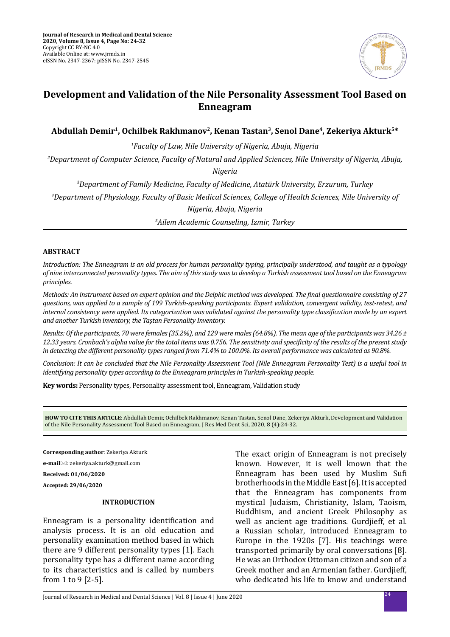

# **Development and Validation of the Nile Personality Assessment Tool Based on Enneagram**

**Abdullah Demir1, Ochilbek Rakhmanov2, Kenan Tastan3, Senol Dane4, Zekeriya Akturk5\***

*1 Faculty of Law, Nile University of Nigeria, Abuja, Nigeria*

*2 Department of Computer Science, Faculty of Natural and Applied Sciences, Nile University of Nigeria, Abuja, Nigeria*

*3 Department of Family Medicine, Faculty of Medicine, Atatürk University, Erzurum, Turkey*

*4 Department of Physiology, Faculty of Basic Medical Sciences, College of Health Sciences, Nile University of Nigeria, Abuja, Nigeria*

*5 Ailem Academic Counseling, Izmir, Turkey*

### **ABSTRACT**

*Introduction: The Enneagram is an old process for human personality typing, principally understood, and taught as a typology of nine interconnected personality types. The aim of this study was to develop a Turkish assessment tool based on the Enneagram principles.*

*Methods: An instrument based on expert opinion and the Delphic method was developed. The final questionnaire consisting of 27 questions, was applied to a sample of 199 Turkish-speaking participants. Expert validation, convergent validity, test-retest, and internal consistency were applied. Its categorization was validated against the personality type classification made by an expert and another Turkish inventory, the Taştan Personality Inventory.* 

*Results: Of the participants, 70 were females (35.2%), and 129 were males (64.8%). The mean age of the participants was 34.26 ± 12.33 years. Cronbach's alpha value for the total items was 0.756. The sensitivity and specificity of the results of the present study in detecting the different personality types ranged from 71.4% to 100.0%. Its overall performance was calculated as 90.8%.* 

*Conclusion: It can be concluded that the Nile Personality Assessment Tool (Nile Enneagram Personality Test) is a useful tool in identifying personality types according to the Enneagram principles in Turkish-speaking people.*

**Key words:** Personality types, Personality assessment tool, Enneagram, Validation study

**HOW TO CITE THIS ARTICLE**: Abdullah Demir, Ochilbek Rakhmanov, Kenan Tastan, Senol Dane, Zekeriya Akturk, Development and Validation of the Nile Personality Assessment Tool Based on Enneagram, J Res Med Dent Sci, 2020, 8 (4):24-32.

**Corresponding author**: Zekeriya Akturk **e-mail**: zekeriya.akturk@gmail.com **Received: 01/06/2020 Accepted: 29/06/2020**

### **INTRODUCTION**

Enneagram is a personality identification and analysis process. It is an old education and personality examination method based in which there are 9 different personality types [1]. Each personality type has a different name according to its characteristics and is called by numbers from 1 to 9 [2-5].

The exact origin of Enneagram is not precisely known. However, it is well known that the Enneagram has been used by Muslim Sufi brotherhoods in the Middle East [6]. It is accepted that the Enneagram has components from mystical Judaism, Christianity, Islam, Taoism, Buddhism, and ancient Greek Philosophy as well as ancient age traditions. Gurdjieff, et al. a Russian scholar, introduced Enneagram to Europe in the 1920s [7]. His teachings were transported primarily by oral conversations [8]. He was an Orthodox Ottoman citizen and son of a Greek mother and an Armenian father. Gurdjieff, who dedicated his life to know and understand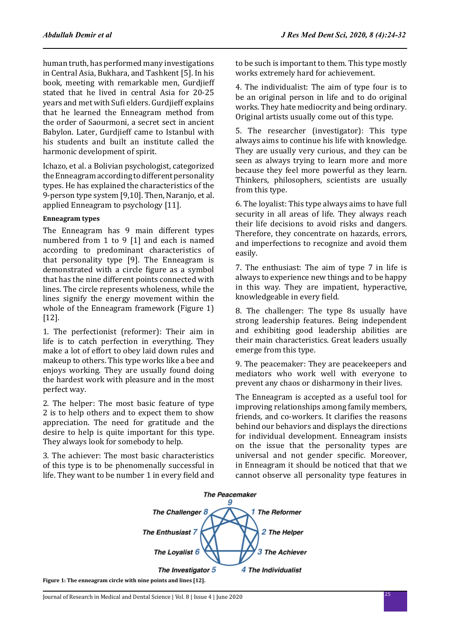human truth, has performed many investigations in Central Asia, Bukhara, and Tashkent [5]. In his book, meeting with remarkable men, Gurdjieff stated that he lived in central Asia for 20-25 years and met with Sufi elders. Gurdjieff explains that he learned the Enneagram method from the order of Saourmoni, a secret sect in ancient Babylon. Later, Gurdjieff came to Istanbul with his students and built an institute called the harmonic development of spirit.

Ichazo, et al. a Bolivian psychologist, categorized the Enneagram according to different personality types. He has explained the characteristics of the 9-person type system [9,10]. Then, Naranjo, et al. applied Enneagram to psychology [11].

### **Enneagram types**

The Enneagram has 9 main different types numbered from 1 to 9 [1] and each is named according to predominant characteristics of that personality type [9]. The Enneagram is demonstrated with a circle figure as a symbol that has the nine different points connected with lines. The circle represents wholeness, while the lines signify the energy movement within the whole of the Enneagram framework (Figure 1) [12].

1. The perfectionist (reformer): Their aim in life is to catch perfection in everything. They make a lot of effort to obey laid down rules and makeup to others. This type works like a bee and enjoys working. They are usually found doing the hardest work with pleasure and in the most perfect way.

2. The helper: The most basic feature of type 2 is to help others and to expect them to show appreciation. The need for gratitude and the desire to help is quite important for this type. They always look for somebody to help.

3. The achiever: The most basic characteristics of this type is to be phenomenally successful in life. They want to be number 1 in every field and to be such is important to them. This type mostly works extremely hard for achievement.

4. The individualist: The aim of type four is to be an original person in life and to do original works. They hate mediocrity and being ordinary. Original artists usually come out of this type.

5. The researcher (investigator): This type always aims to continue his life with knowledge. They are usually very curious, and they can be seen as always trying to learn more and more because they feel more powerful as they learn. Thinkers, philosophers, scientists are usually from this type.

6. The loyalist: This type always aims to have full security in all areas of life. They always reach their life decisions to avoid risks and dangers. Therefore, they concentrate on hazards, errors, and imperfections to recognize and avoid them easily.

7. The enthusiast: The aim of type 7 in life is always to experience new things and to be happy in this way. They are impatient, hyperactive, knowledgeable in every field.

8. The challenger: The type 8s usually have strong leadership features. Being independent and exhibiting good leadership abilities are their main characteristics. Great leaders usually emerge from this type.

9. The peacemaker: They are peacekeepers and mediators who work well with everyone to prevent any chaos or disharmony in their lives.

The Enneagram is accepted as a useful tool for improving relationships among family members, friends, and co-workers. It clarifies the reasons behind our behaviors and displays the directions for individual development. Enneagram insists on the issue that the personality types are universal and not gender specific. Moreover, in Enneagram it should be noticed that that we cannot observe all personality type features in

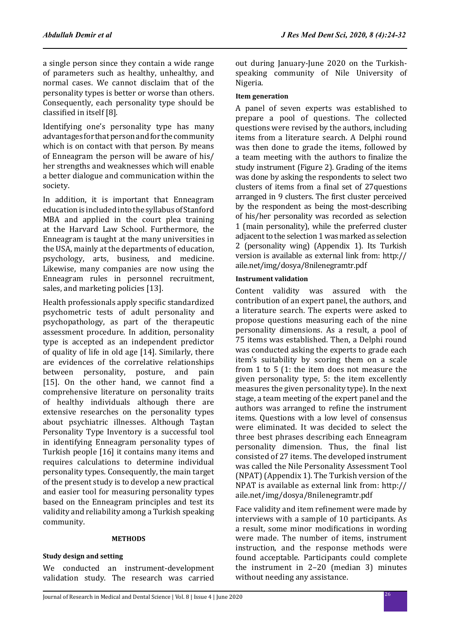a single person since they contain a wide range of parameters such as healthy, unhealthy, and normal cases. We cannot disclaim that of the personality types is better or worse than others. Consequently, each personality type should be classified in itself [8].

Identifying one's personality type has many advantages for that person and for the community which is on contact with that person. By means of Enneagram the person will be aware of his/ her strengths and weaknesses which will enable a better dialogue and communication within the society.

In addition, it is important that Enneagram education is included into the syllabus of Stanford MBA and applied in the court plea training at the Harvard Law School. Furthermore, the Enneagram is taught at the many universities in the USA, mainly at the departments of education, psychology, arts, business, and medicine. Likewise, many companies are now using the Enneagram rules in personnel recruitment, sales, and marketing policies [13].

Health professionals apply specific standardized psychometric tests of adult personality and psychopathology, as part of the therapeutic assessment procedure. In addition, personality type is accepted as an independent predictor of quality of life in old age [14]. Similarly, there are evidences of the correlative relationships between personality, posture, and pain [15]. On the other hand, we cannot find a comprehensive literature on personality traits of healthy individuals although there are extensive researches on the personality types about psychiatric illnesses. Although Taştan Personality Type Inventory is a successful tool in identifying Enneagram personality types of Turkish people [16] it contains many items and requires calculations to determine individual personality types. Consequently, the main target of the present study is to develop a new practical and easier tool for measuring personality types based on the Enneagram principles and test its validity and reliability among a Turkish speaking community.

#### **METHODS**

#### **Study design and setting**

We conducted an instrument-development validation study. The research was carried out during January-June 2020 on the Turkishspeaking community of Nile University of Nigeria.

### **Item generation**

A panel of seven experts was established to prepare a pool of questions. The collected questions were revised by the authors, including items from a literature search. A Delphi round was then done to grade the items, followed by a team meeting with the authors to finalize the study instrument (Figure 2). Grading of the items was done by asking the respondents to select two clusters of items from a final set of 27questions arranged in 9 clusters. The first cluster perceived by the respondent as being the most-describing of his/her personality was recorded as selection 1 (main personality), while the preferred cluster adjacent to the selection 1 was marked as selection 2 (personality wing) (Appendix 1). Its Turkish version is available as external link from: http:// aile.net/img/dosya/8nilenegramtr.pdf

### **Instrument validation**

Content validity was assured with the contribution of an expert panel, the authors, and a literature search. The experts were asked to propose questions measuring each of the nine personality dimensions. As a result, a pool of 75 items was established. Then, a Delphi round was conducted asking the experts to grade each item's suitability by scoring them on a scale from 1 to 5 (1: the item does not measure the given personality type, 5: the item excellently measures the given personality type). In the next stage, a team meeting of the expert panel and the authors was arranged to refine the instrument items. Questions with a low level of consensus were eliminated. It was decided to select the three best phrases describing each Enneagram personality dimension. Thus, the final list consisted of 27 items. The developed instrument was called the Nile Personality Assessment Tool (NPAT) (Appendix 1). The Turkish version of the NPAT is available as external link from: http:// aile.net/img/dosya/8nilenegramtr.pdf

Face validity and item refinement were made by interviews with a sample of 10 participants. As a result, some minor modifications in wording were made. The number of items, instrument instruction, and the response methods were found acceptable. Participants could complete the instrument in 2–20 (median 3) minutes without needing any assistance.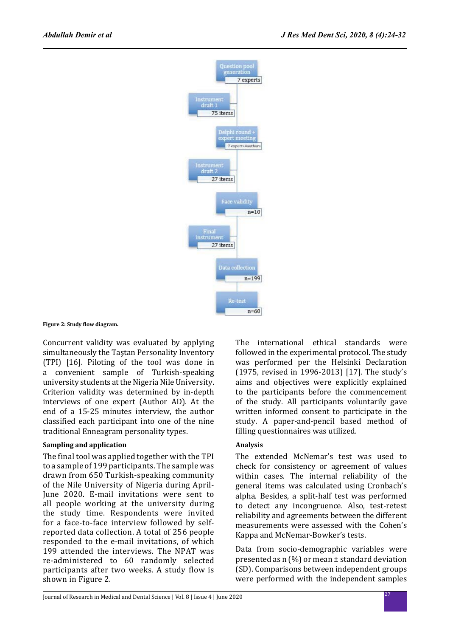

**Figure 2: Study flow diagram.**

Concurrent validity was evaluated by applying simultaneously the Taştan Personality Inventory (TPI) [16]. Piloting of the tool was done in a convenient sample of Turkish-speaking university students at the Nigeria Nile University. Criterion validity was determined by in-depth interviews of one expert (Author AD). At the end of a 15-25 minutes interview, the author classified each participant into one of the nine traditional Enneagram personality types.

### **Sampling and application**

The final tool was applied together with the TPI to a sample of 199 participants. The sample was drawn from 650 Turkish-speaking community of the Nile University of Nigeria during April-June 2020. E-mail invitations were sent to all people working at the university during the study time. Respondents were invited for a face-to-face interview followed by selfreported data collection. A total of 256 people responded to the e-mail invitations, of which 199 attended the interviews. The NPAT was re-administered to 60 randomly selected participants after two weeks. A study flow is shown in Figure 2.

The international ethical standards were followed in the experimental protocol. The study was performed per the Helsinki Declaration (1975, revised in 1996-2013) [17]. The study's aims and objectives were explicitly explained to the participants before the commencement of the study. All participants voluntarily gave written informed consent to participate in the study. A paper-and-pencil based method of filling questionnaires was utilized.

## **Analysis**

The extended McNemar's test was used to check for consistency or agreement of values within cases. The internal reliability of the general items was calculated using Cronbach's alpha. Besides, a split-half test was performed to detect any incongruence. Also, test-retest reliability and agreements between the different measurements were assessed with the Cohen's Kappa and McNemar-Bowker's tests.

Data from socio-demographic variables were presented as n (%) or mean ± standard deviation (SD). Comparisons between independent groups were performed with the independent samples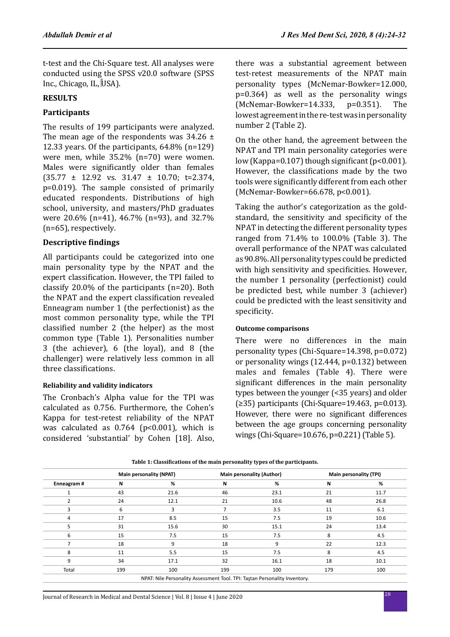t-test and the Chi-Square test. All analyses were conducted using the SPSS v20.0 software (SPSS Inc., Chicago, IL, USA).

### **RESULTS**

## **Participants**

The results of 199 participants were analyzed. The mean age of the respondents was  $34.26 \pm$ 12.33 years. Of the participants, 64.8% (n=129) were men, while 35.2% (n=70) were women. Males were significantly older than females (35.77 ± 12.92 vs. 31.47 ± 10.70; t=2.374, p=0.019). The sample consisted of primarily educated respondents. Distributions of high school, university, and masters/PhD graduates were 20.6% (n=41), 46.7% (n=93), and 32.7% (n=65), respectively.

## **Descriptive findings**

All participants could be categorized into one main personality type by the NPAT and the expert classification. However, the TPI failed to classify 20.0% of the participants (n=20). Both the NPAT and the expert classification revealed Enneagram number 1 (the perfectionist) as the most common personality type, while the TPI classified number 2 (the helper) as the most common type (Table 1). Personalities number 3 (the achiever), 6 (the loyal), and 8 (the challenger) were relatively less common in all three classifications.

### **Reliability and validity indicators**

The Cronbach's Alpha value for the TPI was calculated as 0.756. Furthermore, the Cohen's Kappa for test-retest reliability of the NPAT was calculated as  $0.764$  (p<0.001), which is considered 'substantial' by Cohen [18]. Also, there was a substantial agreement between test-retest measurements of the NPAT main personality types (McNemar-Bowker=12.000,  $p=0.364$ ) as well as the personality wings<br>(McNemar-Bowker=14.333.  $p=0.351$ ). The (McNemar-Bowker=14.333, lowest agreement in the re-test was in personality number 2 (Table 2).

On the other hand, the agreement between the NPAT and TPI main personality categories were low (Kappa=0.107) though significant (p<0.001). However, the classifications made by the two tools were significantly different from each other (McNemar-Bowker=66.678, p<0.001).

Taking the author's categorization as the goldstandard, the sensitivity and specificity of the NPAT in detecting the different personality types ranged from 71.4% to 100.0% (Table 3). The overall performance of the NPAT was calculated as 90.8%. All personality types could be predicted with high sensitivity and specificities. However, the number 1 personality (perfectionist) could be predicted best, while number 3 (achiever) could be predicted with the least sensitivity and specificity.

### **Outcome comparisons**

There were no differences in the main personality types (Chi-Square=14.398, p=0.072) or personality wings (12.444, p=0.132) between males and females (Table 4). There were significant differences in the main personality types between the younger (<35 years) and older (≥35) participants (Chi-Square=19.463, p=0.013). However, there were no significant differences between the age groups concerning personality wings (Chi-Square=10.676, p=0.221) (Table 5).

|            |     | <b>Main personality (NPAT)</b> |     | <b>Main personality (Author)</b> | <b>Main personality (TPI)</b> |      |  |
|------------|-----|--------------------------------|-----|----------------------------------|-------------------------------|------|--|
| Enneagram# | N   | %                              | N   | %                                | N                             | %    |  |
|            | 43  | 21.6                           | 46  | 23.1                             | 21                            | 11.7 |  |
|            | 24  | 12.1                           | 21  | 10.6                             | 48                            | 26.8 |  |
| 3          | 6   | 3                              |     | 3.5                              | 11                            | 6.1  |  |
| 4          | 17  | 8.5                            | 15  | 7.5                              | 19                            | 10.6 |  |
| 5          | 31  | 15.6                           | 30  | 15.1                             | 24                            | 13.4 |  |
| 6          | 15  | 7.5                            | 15  | 7.5                              | 8                             | 4.5  |  |
|            | 18  | 9                              | 18  | 9                                | 22                            | 12.3 |  |
| 8          | 11  | 5.5                            | 15  | 7.5                              | 8                             | 4.5  |  |
| 9          | 34  | 17.1                           | 32  | 16.1                             | 18                            | 10.1 |  |
| Total      | 199 | 100                            | 199 | 100                              | 179                           | 100  |  |

**Table 1: Classifications of the main personality types of the participants.**

NPAT: Nile Personality Assessment Tool. TPI: Taştan Personality Inventory.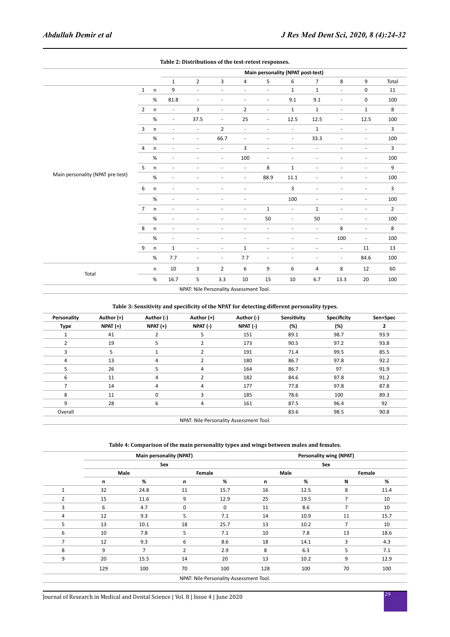|                                  |                |              |                          |                                         |                          |                          |                          | Main personality (NPAT post-test) |                          |                          |                          |                |
|----------------------------------|----------------|--------------|--------------------------|-----------------------------------------|--------------------------|--------------------------|--------------------------|-----------------------------------|--------------------------|--------------------------|--------------------------|----------------|
|                                  |                |              | $\mathbf{1}$             | $\overline{2}$                          | 3                        | 4                        | 5                        | 6                                 | $\overline{7}$           | 8                        | 9                        | Total          |
|                                  | $\mathbf{1}$   | n            | 9                        | $\overline{\phantom{a}}$                | $\overline{\phantom{a}}$ | $\overline{\phantom{a}}$ | $\overline{\phantom{a}}$ | $\mathbf{1}$                      | $\mathbf 1$              | $\blacksquare$           | $\pmb{0}$                | 11             |
|                                  |                | $\%$         | 81.8                     | $\overline{\phantom{a}}$                | $\overline{\phantom{a}}$ | $\overline{\phantom{a}}$ | $\overline{\phantom{a}}$ | 9.1                               | 9.1                      | $\frac{1}{2}$            | $\pmb{0}$                | 100            |
|                                  | $\overline{2}$ | n            | $\blacksquare$           | 3                                       | $\overline{\phantom{a}}$ | $\overline{2}$           | $\overline{\phantom{a}}$ | $\mathbf{1}$                      | $\mathbf 1$              | $\overline{\phantom{a}}$ | $\mathbf 1$              | 8              |
|                                  |                | $\%$         | $\blacksquare$           | 37.5                                    | $\overline{\phantom{a}}$ | 25                       | $\overline{\phantom{a}}$ | 12.5                              | 12.5                     | ÷                        | 12.5                     | 100            |
|                                  | 3              | n            | $\overline{\phantom{a}}$ | $\overline{\phantom{a}}$                | $\overline{2}$           | $\overline{\phantom{a}}$ | $\overline{\phantom{a}}$ | $\overline{\phantom{a}}$          | $\mathbf 1$              | ä,                       | $\overline{\phantom{a}}$ | 3              |
|                                  |                | %            | ÷.                       | $\overline{\phantom{a}}$                | 66.7                     | $\overline{\phantom{a}}$ | $\overline{\phantom{a}}$ | $\overline{\phantom{a}}$          | 33.3                     | ÷,                       | $\overline{\phantom{a}}$ | 100            |
|                                  | $\overline{4}$ | $\mathsf{n}$ | $\overline{\phantom{a}}$ | $\overline{\phantom{a}}$                | $\overline{\phantom{a}}$ | 3                        | $\overline{\phantom{a}}$ | $\overline{\phantom{a}}$          | $\overline{\phantom{a}}$ | $\overline{\phantom{a}}$ | $\overline{\phantom{a}}$ | 3              |
|                                  |                | %            | $\overline{\phantom{a}}$ |                                         | $\sim$                   | 100                      | $\overline{\phantom{a}}$ | ٠                                 | ÷,                       | ٠                        | $\sim$                   | 100            |
|                                  | 5              | n            | $\overline{\phantom{a}}$ | ٠                                       | $\overline{\phantom{a}}$ | $\blacksquare$           | 8                        | $\mathbf 1$                       | $\overline{\phantom{a}}$ | ÷,                       | $\overline{\phantom{a}}$ | 9              |
| Main personality (NPAT pre-test) |                | $\%$         | ٠                        |                                         |                          | ×,                       | 88.9                     | 11.1                              | ۰                        | ٠                        | $\overline{\phantom{a}}$ | 100            |
|                                  | 6              | $\mathsf{n}$ | ä,                       |                                         | ٠                        | ä,                       |                          | 3                                 | $\overline{\phantom{a}}$ | ä,                       | $\overline{\phantom{a}}$ | 3              |
|                                  |                | %            | $\overline{\phantom{a}}$ | ٠                                       | $\sim$                   | $\overline{\phantom{a}}$ |                          | 100                               | $\overline{\phantom{a}}$ | ÷                        | $\overline{\phantom{a}}$ | 100            |
|                                  | $\overline{7}$ | $\mathsf{n}$ | $\overline{\phantom{a}}$ | $\overline{\phantom{a}}$                | $\overline{\phantom{a}}$ | $\overline{\phantom{a}}$ | $\mathbf{1}$             | $\overline{\phantom{a}}$          | $\mathbf{1}$             | $\overline{\phantom{a}}$ | $\overline{\phantom{a}}$ | $\overline{2}$ |
|                                  |                | %            | $\overline{\phantom{a}}$ |                                         | ٠                        | $\overline{\phantom{a}}$ | 50                       | $\overline{\phantom{a}}$          | 50                       | ÷,                       | $\overline{\phantom{a}}$ | 100            |
|                                  | 8              | $\sf n$      | $\overline{\phantom{a}}$ | $\overline{\phantom{a}}$                | $\overline{\phantom{a}}$ | $\sim$                   | $\overline{\phantom{a}}$ | $\bar{a}$                         | $\overline{\phantom{a}}$ | 8                        | $\blacksquare$           | 8              |
|                                  |                | $\%$         | $\overline{\phantom{a}}$ | ٠                                       | ٠                        | ٠                        | ٠                        | ٠                                 | $\overline{\phantom{a}}$ | 100                      | $\overline{\phantom{a}}$ | 100            |
|                                  | 9              | n            | $\mathbf{1}$             | $\overline{\phantom{a}}$                | $\overline{\phantom{a}}$ | $\mathbf 1$              | $\overline{\phantom{a}}$ | $\overline{\phantom{a}}$          | $\overline{\phantom{a}}$ | $\overline{\phantom{a}}$ | 11                       | 13             |
|                                  |                | %            | 7.7                      | $\overline{\phantom{a}}$                | $\overline{\phantom{a}}$ | 7.7                      | $\overline{\phantom{a}}$ | $\overline{\phantom{a}}$          | $\overline{\phantom{a}}$ | $\overline{\phantom{a}}$ | 84.6                     | 100            |
|                                  |                | n            | $10\,$                   | 3                                       | $\overline{2}$           | 6                        | 9                        | 6                                 | $\overline{\mathbf{4}}$  | 8                        | 12                       | 60             |
| Total                            |                | %            | 16.7                     | 5                                       | $3.3\,$                  | 10                       | 15                       | 10                                | 6.7                      | 13.3                     | 20                       | 100            |
|                                  |                |              |                          | NPAT: Nile Personality Assessment Tool. |                          |                          |                          |                                   |                          |                          |                          |                |

**Table 2: Distributions of the test-retest responses.**

### **Table 3: Sensitivity and specificity of the NPAT for detecting different personality types.**

| Personality    | Author (+)    | Author (-)    | Author $(+)$                            | Author (-) | Sensitivity | Specificity | Sen+Spec |
|----------------|---------------|---------------|-----------------------------------------|------------|-------------|-------------|----------|
| <b>Type</b>    | $N$ PAT $(+)$ | $N$ PAT $(+)$ | NPAT (-)                                | NPAT (-)   | (%)         | (%)         | 2        |
| 1              | 41            | 2             | 5                                       | 151        | 89.1        | 98.7        | 93.9     |
| $\overline{2}$ | 19            | 5             | $\overline{2}$                          | 173        | 90.5        | 97.2        | 93.8     |
| 3              | 5             |               | $\overline{2}$                          | 191        | 71.4        | 99.5        | 85.5     |
| 4              | 13            | 4             | $\overline{2}$                          | 180        | 86.7        | 97.8        | 92.2     |
| 5              | 26            | 5             | 4                                       | 164        | 86.7        | 97          | 91.9     |
| 6              | 11            | 4             | $\overline{2}$                          | 182        | 84.6        | 97.8        | 91.2     |
|                | 14            | 4             | 4                                       | 177        | 77.8        | 97.8        | 87.8     |
| 8              | 11            | 0             | 3                                       | 185        | 78.6        | 100         | 89.3     |
| 9              | 28            | 6             | 4                                       | 161        | 87.5        | 96.4        | 92       |
| Overall        |               |               |                                         |            | 83.6        | 98.5        | 90.8     |
|                |               |               | NPAT: Nile Personality Assessment Tool. |            |             |             |          |

**Table 4: Comparison of the main personality types and wings between males and females.**

|                |      | <b>Main personality (NPAT)</b> |                | <b>Personality wing (NPAT)</b>          |     |      |                |      |  |
|----------------|------|--------------------------------|----------------|-----------------------------------------|-----|------|----------------|------|--|
|                |      | Sex                            |                | Sex                                     |     |      |                |      |  |
|                | Male |                                | Female         |                                         |     | Male | Female         |      |  |
|                | n    | %                              | n              | %                                       | n   | %    | Ν              | %    |  |
| 1              | 32   | 24.8                           | 11             | 15.7                                    | 16  | 12.5 | 8              | 11.4 |  |
| $\overline{2}$ | 15   | 11.6                           | 9              | 12.9                                    | 25  | 19.5 | 7              | 10   |  |
| 3              | 6    | 4.7                            | 0              | $\mathbf 0$                             | 11  | 8.6  | 7              | 10   |  |
| 4              | 12   | 9.3                            | 5              | 7.1                                     | 14  | 10.9 | 11             | 15.7 |  |
| 5              | 13   | 10.1                           | 18             | 25.7                                    | 13  | 10.2 | $\overline{7}$ | 10   |  |
| 6              | 10   | 7.8                            | 5              | 7.1                                     | 10  | 7.8  | 13             | 18.6 |  |
| $\overline{7}$ | 12   | 9.3                            | 6              | 8.6                                     | 18  | 14.1 | 3              | 4.3  |  |
| 8              | 9    | $\overline{7}$                 | $\overline{2}$ | 2.9                                     | 8   | 6.3  | 5              | 7.1  |  |
| 9              | 20   | 15.5                           | 14             | 20                                      | 13  | 10.2 | 9              | 12.9 |  |
|                | 129  | 100                            | 70             | 100                                     | 128 | 100  | 70             | 100  |  |
|                |      |                                |                | NPAT: Nile Personality Assessment Tool. |     |      |                |      |  |

<sup>29</sup> Journal of Research in Medical and Dental Science | Vol. 8 | Issue 4 | June 2020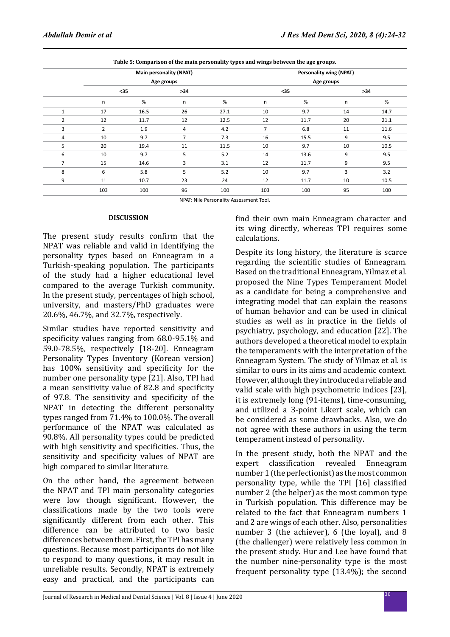|                |                |      | <b>Main personality (NPAT)</b> | <b>Personality wing (NPAT)</b> |                |      |    |       |  |
|----------------|----------------|------|--------------------------------|--------------------------------|----------------|------|----|-------|--|
|                |                |      | Age groups                     | Age groups                     |                |      |    |       |  |
|                | $35$           |      | $>34$                          |                                | $35$           |      |    | $>34$ |  |
|                | n              | %    | n                              | $\%$                           | n              | $\%$ | n  | %     |  |
| $\mathbf{1}$   | 17             | 16.5 | 26                             | 27.1                           | 10             | 9.7  | 14 | 14.7  |  |
| 2              | 12             | 11.7 | 12                             | 12.5                           | 12             | 11.7 | 20 | 21.1  |  |
| 3              | $\overline{2}$ | 1.9  | 4                              | 4.2                            | $\overline{7}$ | 6.8  | 11 | 11.6  |  |
| 4              | 10             | 9.7  | 7                              | 7.3                            | 16             | 15.5 | 9  | 9.5   |  |
| 5              | 20             | 19.4 | 11                             | 11.5                           | 10             | 9.7  | 10 | 10.5  |  |
| 6              | 10             | 9.7  | 5                              | 5.2                            | 14             | 13.6 | 9  | 9.5   |  |
| $\overline{7}$ | 15             | 14.6 | 3                              | 3.1                            | 12             | 11.7 | 9  | 9.5   |  |
| 8              | 6              | 5.8  | 5                              | 5.2                            | 10             | 9.7  | 3  | 3.2   |  |
| 9              | 11             | 10.7 | 23                             | 24                             | 12             | 11.7 | 10 | 10.5  |  |
|                | 103            | 100  | 96                             | 100                            | 103            | 100  | 95 | 100   |  |

**Table 5: Comparison of the main personality types and wings between the age groups.**

#### **DISCUSSION**

The present study results confirm that the NPAT was reliable and valid in identifying the personality types based on Enneagram in a Turkish-speaking population. The participants of the study had a higher educational level compared to the average Turkish community. In the present study, percentages of high school, university, and masters/PhD graduates were 20.6%, 46.7%, and 32.7%, respectively.

Similar studies have reported sensitivity and specificity values ranging from 68.0-95.1% and 59.0-78.5%, respectively [18-20]. Enneagram Personality Types Inventory (Korean version) has 100% sensitivity and specificity for the number one personality type [21]. Also, TPI had a mean sensitivity value of 82.8 and specificity of 97.8. The sensitivity and specificity of the NPAT in detecting the different personality types ranged from 71.4% to 100.0%. The overall performance of the NPAT was calculated as 90.8%. All personality types could be predicted with high sensitivity and specificities. Thus, the sensitivity and specificity values of NPAT are high compared to similar literature.

On the other hand, the agreement between the NPAT and TPI main personality categories were low though significant. However, the classifications made by the two tools were significantly different from each other. This difference can be attributed to two basic differences between them. First, the TPI has many questions. Because most participants do not like to respond to many questions, it may result in unreliable results. Secondly, NPAT is extremely easy and practical, and the participants can find their own main Enneagram character and its wing directly, whereas TPI requires some calculations.

Despite its long history, the literature is scarce regarding the scientific studies of Enneagram. Based on the traditional Enneagram, Yilmaz et al. proposed the Nine Types Temperament Model as a candidate for being a comprehensive and integrating model that can explain the reasons of human behavior and can be used in clinical studies as well as in practice in the fields of psychiatry, psychology, and education [22]. The authors developed a theoretical model to explain the temperaments with the interpretation of the Enneagram System. The study of Yilmaz et al. is similar to ours in its aims and academic context. However, although they introduced a reliable and valid scale with high psychometric indices [23], it is extremely long (91-items), time-consuming, and utilized a 3-point Likert scale, which can be considered as some drawbacks. Also, we do not agree with these authors in using the term temperament instead of personality.

In the present study, both the NPAT and the expert classification revealed Enneagram number 1 (the perfectionist) as the most common personality type, while the TPI [16] classified number 2 (the helper) as the most common type in Turkish population. This difference may be related to the fact that Enneagram numbers 1 and 2 are wings of each other. Also, personalities number 3 (the achiever), 6 (the loyal), and 8 (the challenger) were relatively less common in the present study. Hur and Lee have found that the number nine-personality type is the most frequent personality type (13.4%); the second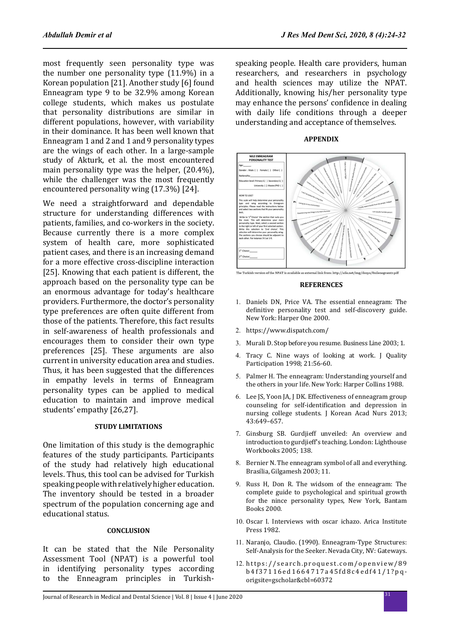most frequently seen personality type was the number one personality type (11.9%) in a Korean population [21]. Another study [6] found Enneagram type 9 to be 32.9% among Korean college students, which makes us postulate that personality distributions are similar in different populations, however, with variability in their dominance. It has been well known that Enneagram 1 and 2 and 1 and 9 personality types are the wings of each other. In a large-sample study of Akturk, et al. the most encountered main personality type was the helper, (20.4%), while the challenger was the most frequently encountered personality wing (17.3%) [24].

We need a straightforward and dependable structure for understanding differences with patients, families, and co-workers in the society. Because currently there is a more complex system of health care, more sophisticated patient cases, and there is an increasing demand for a more effective cross-discipline interaction [25]. Knowing that each patient is different, the approach based on the personality type can be an enormous advantage for today's healthcare providers. Furthermore, the doctor's personality type preferences are often quite different from those of the patients. Therefore, this fact results in self-awareness of health professionals and encourages them to consider their own type preferences [25]. These arguments are also current in university education area and studies. Thus, it has been suggested that the differences in empathy levels in terms of Enneagram personality types can be applied to medical education to maintain and improve medical students' empathy [26,27].

### **STUDY LIMITATIONS**

One limitation of this study is the demographic features of the study participants. Participants of the study had relatively high educational levels. Thus, this tool can be advised for Turkish speaking people with relatively higher education. The inventory should be tested in a broader spectrum of the population concerning age and educational status.

#### **CONCLUSION**

It can be stated that the Nile Personality Assessment Tool (NPAT) is a powerful tool in identifying personality types according to the Enneagram principles in Turkishspeaking people. Health care providers, human researchers, and researchers in psychology and health sciences may utilize the NPAT. Additionally, knowing his/her personality type may enhance the persons' confidence in dealing with daily life conditions through a deeper understanding and acceptance of themselves.



### **APPENDIX**



### **REFERENCES**

- 1. Daniels DN, Price VA. The essential enneagram: The definitive personality test and self-discovery guide. New York: Harper One 2000.
- 2. https://www.dispatch.com/
- 3. Murali D. Stop before you resume. Business Line 2003; 1.
- 4. Tracy C. Nine ways of looking at work. J Quality Participation 1998; 21:56-60.
- 5. Palmer H. The enneagram: Understanding yourself and the others in your life. New York: Harper Collins 1988.
- 6. Lee JS, Yoon JA, J DK. Effectiveness of enneagram group counseling for self-identification and depression in nursing college students. J Korean Acad Nurs 2013; 43:649–657.
- 7. Ginsburg SB. Gurdjieff unveiled: An overview and introduction to gurdjieff's teaching. London: Lighthouse Workbooks 2005; 138.
- 8. Bernier N. The enneagram symbol of all and everything. Brasília, Gilgamesh 2003; 11.
- 9. Russ H, Don R. The widsom of the enneagram: The complete guide to psychological and spiritual growth for the nince personality types, New York, Bantam Books 2000.
- 10. Oscar I. Interviews with oscar ichazo. Arica Institute Press 1982.
- 11. Naranjo, Claudio. (1990). Enneagram-Type Structures: Self-Analysis for the Seeker. Nevada City, NV: Gateways.
- 12. https://search.proquest.com/openview/89 b4f37116ed1664717a45fd8c4edf41/1?pqorigsite=gscholar&cbl=60372